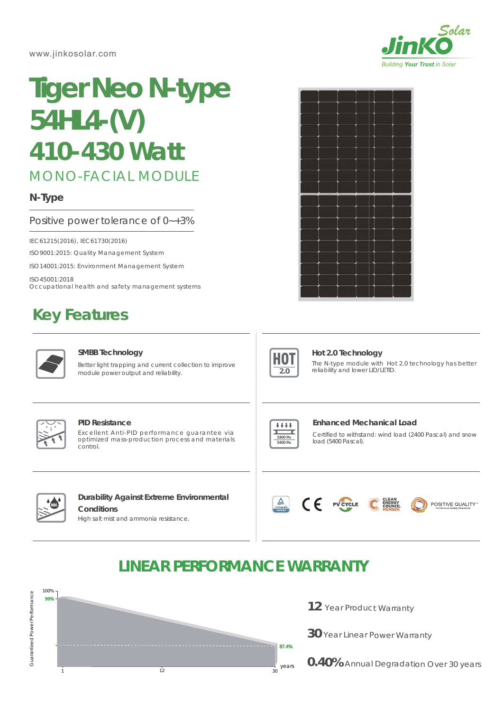www.jinkosolar.com



# **Tiger Neo N-type 54HL4-(V)** *410-430 Watt*

# MONO-FACIAL MODULE

# **N-Type**

### Positive power tolerance of 0~+3%

IEC61215(2016), IEC61730(2016)

ISO9001:2015: Quality Management System

ISO14001:2015: Environment Management System

ISO45001:2018 Occupational health and safety management systems

# **Key Features**



#### **SMBB Technology**

Better light trapping and current collection to improve module power output and reliability.





### **Hot 2.0 Technology**

The N-type module with Hot 2.0 technology has better reliability and lower LID/LETID.



#### **PID Resistance**

Excellent Anti-PID performance guarantee via optimized mass-production process and materials control.



#### **Enhanced Mechanical Load**

Certified to withstand: wind load (2400 Pascal) and snow load (5400 Pascal).



## **Durability Against Extreme Environmental Conditions**

High salt mist and ammonia resistance.





# **LINEAR PERFORMANCE WARRANTY**



- 12 Year Product Warranty
- **30** Year Linear Power Warranty
- **0.40%** Annual Degradation Over 30 years